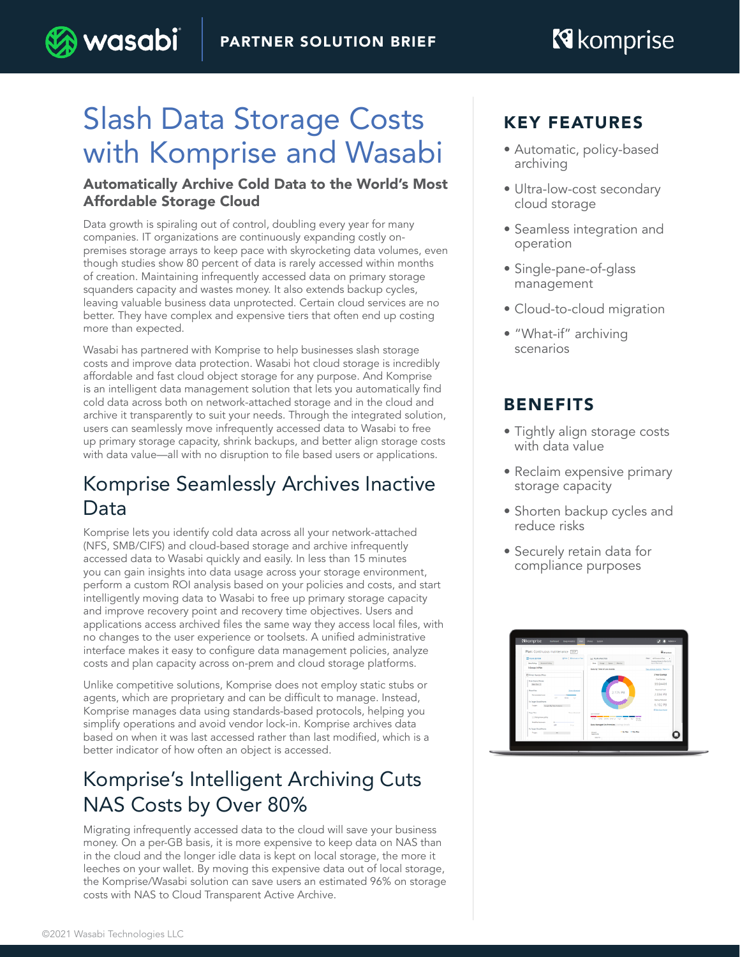# Slash Data Storage Costs with Komprise and Wasabi

) wasabi

#### Automatically Archive Cold Data to the World's Most Affordable Storage Cloud

Data growth is spiraling out of control, doubling every year for many companies. IT organizations are continuously expanding costly onpremises storage arrays to keep pace with skyrocketing data volumes, even though studies show 80 percent of data is rarely accessed within months of creation. Maintaining infrequently accessed data on primary storage squanders capacity and wastes money. It also extends backup cycles, leaving valuable business data unprotected. Certain cloud services are no better. They have complex and expensive tiers that often end up costing more than expected.

Wasabi has partnered with Komprise to help businesses slash storage costs and improve data protection. Wasabi hot cloud storage is incredibly affordable and fast cloud object storage for any purpose. And Komprise is an intelligent data management solution that lets you automatically find cold data across both on network-attached storage and in the cloud and archive it transparently to suit your needs. Through the integrated solution, users can seamlessly move infrequently accessed data to Wasabi to free up primary storage capacity, shrink backups, and better align storage costs with data value—all with no disruption to file based users or applications.

## Komprise Seamlessly Archives Inactive Data

Komprise lets you identify cold data across all your network-attached (NFS, SMB/CIFS) and cloud-based storage and archive infrequently accessed data to Wasabi quickly and easily. In less than 15 minutes you can gain insights into data usage across your storage environment, perform a custom ROI analysis based on your policies and costs, and start intelligently moving data to Wasabi to free up primary storage capacity and improve recovery point and recovery time objectives. Users and applications access archived files the same way they access local files, with no changes to the user experience or toolsets. A unified administrative interface makes it easy to configure data management policies, analyze costs and plan capacity across on-prem and cloud storage platforms.

Unlike competitive solutions, Komprise does not employ static stubs or agents, which are proprietary and can be difficult to manage. Instead, Komprise manages data using standards-based protocols, helping you simplify operations and avoid vendor lock-in. Komprise archives data based on when it was last accessed rather than last modified, which is a better indicator of how often an object is accessed.

# Komprise's Intelligent Archiving Cuts NAS Costs by Over 80%

Migrating infrequently accessed data to the cloud will save your business money. On a per-GB basis, it is more expensive to keep data on NAS than in the cloud and the longer idle data is kept on local storage, the more it leeches on your wallet. By moving this expensive data out of local storage, the Komprise/Wasabi solution can save users an estimated 96% on storage costs with NAS to Cloud Transparent Active Archive.

### KEY FEATURES

- Automatic, policy-based archiving
- Ultra-low-cost secondary cloud storage
- Seamless integration and operation
- Single-pane-of-glass management
- Cloud-to-cloud migration
- "What-if" archiving scenarios

### BENEFITS

- Tightly align storage costs with data value
- Reclaim expensive primary storage capacity
- Shorten backup cycles and reduce risks
- Securely retain data for compliance purposes